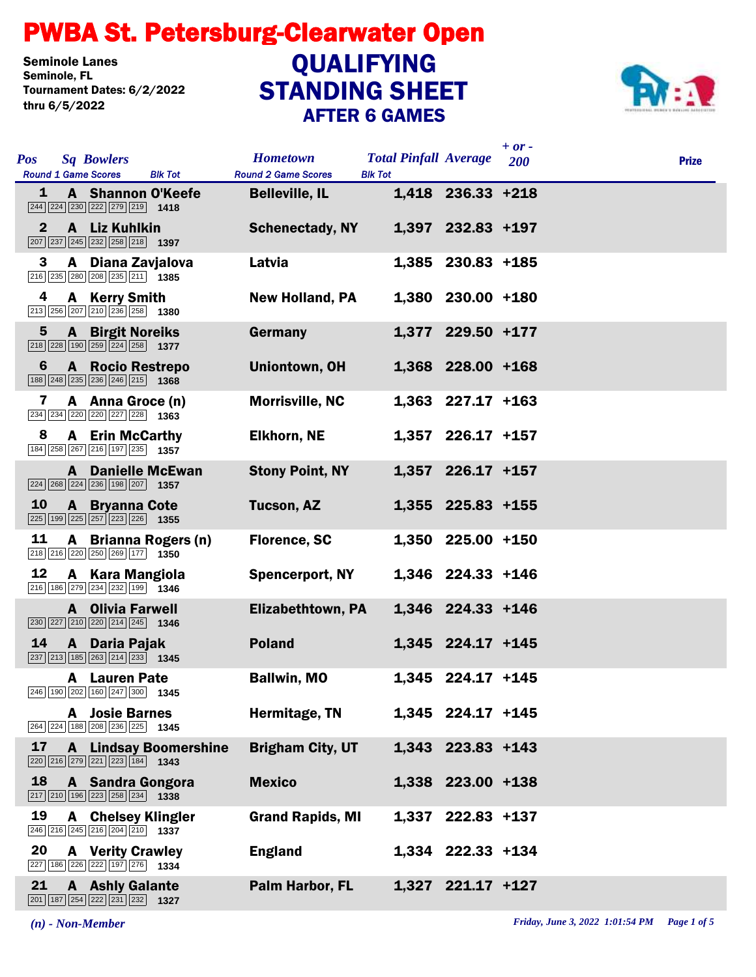## STANDING SHEET PWBA St. Petersburg-Clearwater Open AFTER 6 GAMES Seminole Lanes<br>Seminole, FL Tournament Dates: 6/2/2022 thru 6/5/2022 QUALIFYING



| <b>Pos</b><br><b>Sq Bowlers</b><br><b>Round 1 Game Scores</b><br><b>Blk Tot</b>                                                  | <b>Hometown</b><br><b>Round 2 Game Scores</b> | <b>Total Pinfall Average</b><br><b>Blk Tot</b> |                     | $+ or -$<br>200 | <b>Prize</b> |
|----------------------------------------------------------------------------------------------------------------------------------|-----------------------------------------------|------------------------------------------------|---------------------|-----------------|--------------|
| A Shannon O'Keefe<br>1<br>$\boxed{244}$ $\boxed{224}$ $\boxed{230}$ $\boxed{222}$ $\boxed{279}$ $\boxed{219}$ <b>1418</b>        | <b>Belleville, IL</b>                         |                                                | 1,418 236.33 +218   |                 |              |
| $\mathbf{2}$<br>A Liz Kuhlkin<br>$\boxed{207}$ $\boxed{237}$ $\boxed{245}$ $\boxed{232}$ $\boxed{258}$ $\boxed{218}$ <b>1397</b> | <b>Schenectady, NY</b>                        |                                                | 1,397 232.83 +197   |                 |              |
| 3<br>A Diana Zavjalova<br>216 235 280 208 235 211 1385                                                                           | Latvia                                        |                                                | 1,385 230.83 +185   |                 |              |
| 4<br><b>A</b> Kerry Smith<br>213 256 207 210 236 258 1380                                                                        | <b>New Holland, PA</b>                        |                                                | 1,380 230.00 +180   |                 |              |
| $5\phantom{.0}$<br><b>A</b> Birgit Noreiks<br>218 228 190 259 224 258 1377                                                       | Germany                                       |                                                | 1,377 229.50 +177   |                 |              |
| <b>A</b> Rocio Restrepo<br>6<br>188 248 235 236 246 215 1368                                                                     | <b>Uniontown, OH</b>                          |                                                | 1,368 228.00 +168   |                 |              |
| 7<br>A Anna Groce (n)<br>234 234 220 220 227 228 1363                                                                            | <b>Morrisville, NC</b>                        |                                                | $1,363$ 227.17 +163 |                 |              |
| 8<br><b>A</b> Erin McCarthy<br>184 258 267 216 197 235 1357                                                                      | <b>Elkhorn, NE</b>                            |                                                | $1,357$ 226.17 +157 |                 |              |
| <b>A</b> Danielle McEwan<br>$\boxed{224}$ $\boxed{268}$ $\boxed{224}$ $\boxed{236}$ $\boxed{198}$ $\boxed{207}$ <b>1357</b>      | <b>Stony Point, NY</b>                        |                                                | 1,357 226.17 +157   |                 |              |
| 10<br><b>A</b> Bryanna Cote<br>225 199 225 257 223 226 1355                                                                      | Tucson, AZ                                    |                                                | 1,355 225.83 +155   |                 |              |
| 11<br>A Brianna Rogers (n)<br>218 216 220 250 269 177 1350                                                                       | <b>Florence, SC</b>                           |                                                | 1,350 225.00 +150   |                 |              |
| 12<br>A Kara Mangiola<br>$\boxed{216}$ 186 $\boxed{279}$ $\boxed{234}$ $\boxed{232}$ 199 1346                                    | <b>Spencerport, NY</b>                        |                                                | 1,346 224.33 +146   |                 |              |
| <b>A</b> Olivia Farwell<br>$\boxed{230}$ $\boxed{227}$ $\boxed{210}$ $\boxed{220}$ $\boxed{214}$ $\boxed{245}$ <b>1346</b>       | <b>Elizabethtown, PA</b>                      |                                                | 1,346 224.33 +146   |                 |              |
| 14<br>A Daria Pajak<br>$\boxed{237}$ $\boxed{213}$ $\boxed{185}$ $\boxed{263}$ $\boxed{214}$ $\boxed{233}$ <b>1345</b>           | <b>Poland</b>                                 |                                                | 1,345 224.17 +145   |                 |              |
| <b>A</b> Lauren Pate<br>246 190 202 160 247 300 1345                                                                             | <b>Ballwin, MO</b>                            |                                                | 1,345 224.17 +145   |                 |              |
| <b>A</b> Josie Barnes<br>264 224 188 208 236 225 1345                                                                            | Hermitage, TN                                 |                                                | 1,345 224.17 +145   |                 |              |
| 17<br><b>A</b> Lindsay Boomershine<br>220 216 279 221 223 184 1343                                                               | <b>Brigham City, UT</b>                       |                                                | 1,343 223.83 +143   |                 |              |
| 18<br>A Sandra Gongora<br>$\boxed{217}$ $\boxed{210}$ $\boxed{196}$ $\boxed{223}$ $\boxed{258}$ $\boxed{234}$ <b>1338</b>        | <b>Mexico</b>                                 |                                                | 1,338 223.00 +138   |                 |              |
| <b>A</b> Chelsey Klingler<br>19<br>246 216 245 216 204 210 1337                                                                  | <b>Grand Rapids, MI</b>                       |                                                | 1,337 222.83 +137   |                 |              |
| 20<br><b>A</b> Verity Crawley<br>227 186 226 222 197 276 1334                                                                    | <b>England</b>                                |                                                | 1,334 222.33 +134   |                 |              |
| 21<br><b>A</b> Ashly Galante<br>201 187 254 222 231 232 1327                                                                     | Palm Harbor, FL                               |                                                | 1,327 221.17 +127   |                 |              |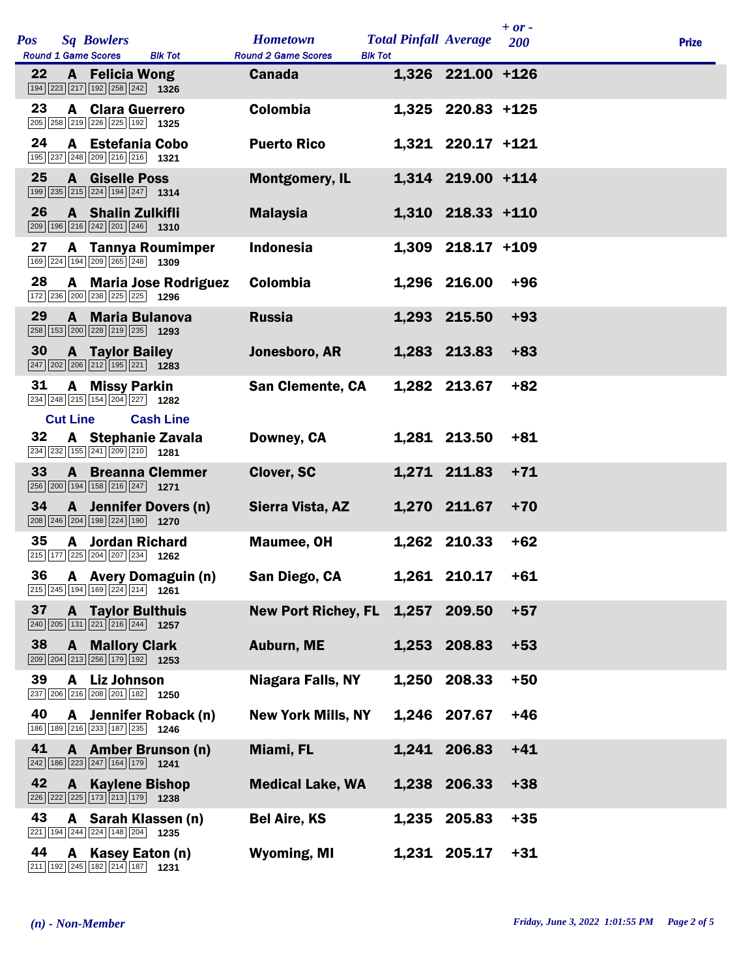| <b>Pos</b> |                 | <b>Sq Bowlers</b>                                                                                                           |                           | <b>Hometown</b>            | <b>Total Pinfall Average</b> |                   | $+ or -$<br>200 | <b>Prize</b> |
|------------|-----------------|-----------------------------------------------------------------------------------------------------------------------------|---------------------------|----------------------------|------------------------------|-------------------|-----------------|--------------|
|            |                 | <b>Round 1 Game Scores</b>                                                                                                  | <b>Blk Tot</b>            | <b>Round 2 Game Scores</b> | <b>Blk Tot</b>               |                   |                 |              |
| 22         |                 | <b>A</b> Felicia Wong<br>194 223 217 192 258 242 1326                                                                       |                           | <b>Canada</b>              |                              | 1,326 221.00 +126 |                 |              |
| 23         |                 | <b>A</b> Clara Guerrero<br>205 258 219 226 225 192 1325                                                                     |                           | <b>Colombia</b>            |                              | 1,325 220.83 +125 |                 |              |
| 24         |                 | A Estefania Cobo<br>195 237 248 209 216 216 1321                                                                            |                           | <b>Puerto Rico</b>         |                              | 1,321 220.17 +121 |                 |              |
| 25         |                 | <b>A</b> Giselle Poss<br>$\boxed{199}$ $\boxed{235}$ $\boxed{215}$ $\boxed{224}$ $\boxed{194}$ $\boxed{247}$ <b>1314</b>    |                           | <b>Montgomery, IL</b>      |                              | 1,314 219.00 +114 |                 |              |
| 26         |                 | A Shalin Zulkifli<br>209 196 216 242 201 246 1310                                                                           |                           | <b>Malaysia</b>            |                              | 1,310 218.33 +110 |                 |              |
| 27         |                 | 169 224 194 209 265 248 1309                                                                                                | <b>A</b> Tannya Roumimper | <b>Indonesia</b>           |                              | 1,309 218.17 +109 |                 |              |
| 28         |                 | 172 236 200 238 225 225 1296                                                                                                | A Maria Jose Rodriguez    | Colombia                   |                              | 1,296 216.00      | $+96$           |              |
| 29         |                 | A Maria Bulanova<br>258 153 200 228 219 235 1293                                                                            |                           | <b>Russia</b>              |                              | 1,293 215.50      | $+93$           |              |
| 30         |                 | <b>A</b> Taylor Bailey<br>$\boxed{247}\boxed{202}\boxed{206}\boxed{212}\boxed{195}\boxed{221}\boxed{1283}$                  |                           | Jonesboro, AR              |                              | 1,283 213.83      | $+83$           |              |
| 31         |                 | A Missy Parkin<br>234 248 215 154 204 227 1282                                                                              |                           | <b>San Clemente, CA</b>    |                              | 1,282 213.67      | $+82$           |              |
|            | <b>Cut Line</b> |                                                                                                                             | <b>Cash Line</b>          |                            |                              |                   |                 |              |
| 32         |                 | A Stephanie Zavala<br>$\overline{234}$ $\overline{232}$ 155 241 $\overline{209}$ 210 1281                                   |                           | Downey, CA                 |                              | 1,281 213.50      | $+81$           |              |
| 33         |                 | <b>A</b> Breanna Clemmer<br>256 200 194 158 216 247 1271                                                                    |                           | Clover, SC                 |                              | 1,271 211.83      | $+71$           |              |
| 34         |                 | 208 246 204 198 224 190 1270                                                                                                | A Jennifer Dovers (n)     | Sierra Vista, AZ           |                              | 1,270 211.67      | $+70$           |              |
| 35         |                 | <b>A</b> Jordan Richard<br>215 177 225 204 207 234 1262                                                                     |                           | <b>Maumee, OH</b>          |                              | 1,262 210.33      | $+62$           |              |
|            |                 | $\boxed{215}$ $\boxed{245}$ $\boxed{194}$ $\boxed{169}$ $\boxed{224}$ $\boxed{214}$ <b>1261</b>                             | 36 A Avery Domaguin (n)   | San Diego, CA              |                              | 1,261 210.17      | $+61$           |              |
| 37         |                 | <b>A</b> Taylor Bulthuis<br>$\boxed{240}$ $\boxed{205}$ $\boxed{131}$ $\boxed{221}$ $\boxed{216}$ $\boxed{244}$ <b>1257</b> |                           | <b>New Port Richey, FL</b> | 1,257                        | 209.50            | $+57$           |              |
| 38         |                 | <b>A</b> Mallory Clark<br>209 204 213 256 179 192 1253                                                                      |                           | Auburn, ME                 |                              | 1,253 208.83      | $+53$           |              |
| 39         | A               | <b>Liz Johnson</b><br>237 206 216 208 201 182 1250                                                                          |                           | <b>Niagara Falls, NY</b>   | 1,250                        | 208.33            | $+50$           |              |
| 40         |                 | 186 189 216 233 187 235 1246                                                                                                | A Jennifer Roback (n)     | <b>New York Mills, NY</b>  |                              | 1,246 207.67      | $+46$           |              |
| 41         |                 | $\boxed{242}$ 186 223 247 164 179 1241                                                                                      | A Amber Brunson (n)       | Miami, FL                  |                              | 1,241 206.83      | $+41$           |              |
| 42         |                 | <b>A</b> Kaylene Bishop<br>226 222 225 173 213 179 1238                                                                     |                           | <b>Medical Lake, WA</b>    |                              | 1,238 206.33      | $+38$           |              |
| 43         |                 | A Sarah Klassen (n)<br>221 194 244 224 148 204 1235                                                                         |                           | <b>Bel Aire, KS</b>        | 1,235                        | 205.83            | $+35$           |              |
| 44         | A               | Kasey Eaton (n)<br>211 192 245 182 214 187 1231                                                                             |                           | <b>Wyoming, MI</b>         |                              | 1,231 205.17      | $+31$           |              |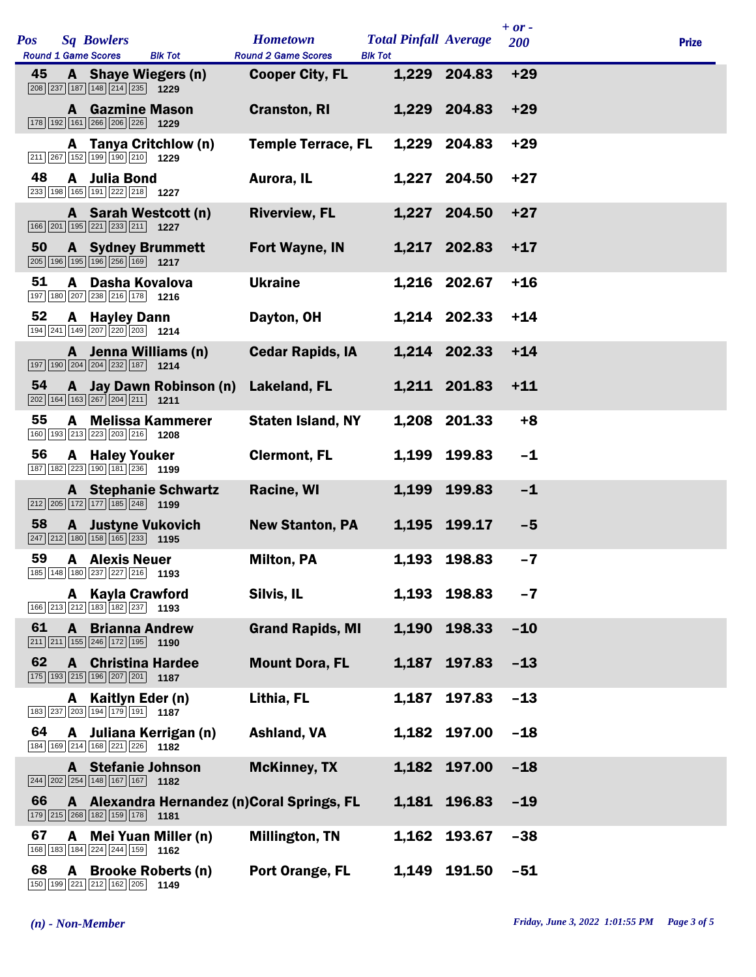| <b>Pos</b> |              | <b>Sq Bowlers</b><br><b>Round 1 Game Scores</b>                                                                          | <b>Blk Tot</b>                    | <b>Hometown</b><br><b>Round 2 Game Scores</b> | <b>Total Pinfall Average</b><br><b>Blk Tot</b> |              | $+ or -$<br>200 | <b>Prize</b> |
|------------|--------------|--------------------------------------------------------------------------------------------------------------------------|-----------------------------------|-----------------------------------------------|------------------------------------------------|--------------|-----------------|--------------|
| 45         |              | A Shaye Wiegers (n)<br>$\boxed{208}$ $\boxed{237}$ $\boxed{187}$ $\boxed{148}$ $\boxed{214}$ $\boxed{235}$ <b>1229</b>   |                                   | <b>Cooper City, FL</b>                        |                                                | 1,229 204.83 | $+29$           |              |
|            |              | <b>A</b> Gazmine Mason<br>178 192 161 266 206 226                                                                        | 1229                              | <b>Cranston, RI</b>                           |                                                | 1,229 204.83 | $+29$           |              |
|            |              | 211 267 152 199 190 210 1229                                                                                             | A Tanya Critchlow (n)             | <b>Temple Terrace, FL</b>                     | 1,229                                          | 204.83       | $+29$           |              |
| 48         |              | A Julia Bond<br>233 198 165 191 222 218 1227                                                                             |                                   | Aurora, IL                                    |                                                | 1,227 204.50 | $+27$           |              |
|            |              | $\boxed{166}$ $\boxed{201}$ $\boxed{195}$ $\boxed{221}$ $\boxed{233}$ $\boxed{211}$ <b>1227</b>                          | A Sarah Westcott (n)              | <b>Riverview, FL</b>                          |                                                | 1,227 204.50 | $+27$           |              |
| 50         |              | <b>A</b> Sydney Brummett<br>205 196 195 196 256 169 1217                                                                 |                                   | Fort Wayne, IN                                |                                                | 1,217 202.83 | $+17$           |              |
| 51         | A            | Dasha Kovalova<br>197 180 207 238 216 178 1216                                                                           |                                   | <b>Ukraine</b>                                |                                                | 1,216 202.67 | $+16$           |              |
| 52         | A            | <b>Hayley Dann</b><br>194 241 149 207 220 203 1214                                                                       |                                   | Dayton, OH                                    |                                                | 1,214 202.33 | $+14$           |              |
|            |              | $\boxed{197}$ $\boxed{190}$ $\boxed{204}$ $\boxed{204}$ $\boxed{232}$ $\boxed{187}$ <b>1214</b>                          | A Jenna Williams (n)              | <b>Cedar Rapids, IA</b>                       |                                                | 1,214 202.33 | $+14$           |              |
| 54         |              | $\boxed{202}$ 164 163 267 204 211 1211                                                                                   | A Jay Dawn Robinson (n)           | Lakeland, FL                                  |                                                | 1,211 201.83 | $+11$           |              |
| 55         | A            | 160 193 213 223 203 216 1208                                                                                             | <b>Melissa Kammerer</b>           | <b>Staten Island, NY</b>                      |                                                | 1,208 201.33 | $+8$            |              |
| 56         |              | <b>A</b> Haley Youker<br>187 182 223 190 181 236 1199                                                                    |                                   | <b>Clermont, FL</b>                           |                                                | 1,199 199.83 | $-1$            |              |
|            |              | $\boxed{212}$ $\boxed{205}$ $\boxed{172}$ $\boxed{177}$ $\boxed{185}$ $\boxed{248}$ <b>1199</b>                          | <b>A</b> Stephanie Schwartz       | Racine, WI                                    |                                                | 1,199 199.83 | $-1$            |              |
| 58         |              | <b>A</b> Justyne Vukovich<br>$\boxed{247}$ $\boxed{212}$ $\boxed{180}$ $\boxed{158}$ $\boxed{165}$ $\boxed{233}$         | 1195                              | <b>New Stanton, PA</b>                        |                                                | 1,195 199.17 | $-5$            |              |
| 59         |              | <b>A</b> Alexis Neuer<br>185 148 180 237 227 216 1193                                                                    |                                   | <b>Milton, PA</b>                             |                                                | 1,193 198.83 | $-7$            |              |
|            |              | A Kayla Crawford<br>$\boxed{166}$ $\boxed{213}$ $\boxed{212}$ $\boxed{183}$ $\boxed{182}$ $\boxed{237}$ <b>1193</b>      |                                   | Silvis, IL                                    |                                                | 1,193 198.83 | $-7$            |              |
| 61         | $\mathbf{A}$ | <b>Brianna Andrew</b><br>$\boxed{211}$ $\boxed{211}$ $\boxed{155}$ $\boxed{246}$ $\boxed{172}$ $\boxed{195}$ <b>1190</b> |                                   | <b>Grand Rapids, MI</b>                       |                                                | 1,190 198.33 | $-10$           |              |
| 62         |              | <b>A</b> Christina Hardee<br>175 193 215 196 207 201 187                                                                 |                                   | <b>Mount Dora, FL</b>                         |                                                | 1,187 197.83 | $-13$           |              |
|            |              | A Kaitlyn Eder (n)<br>183 237 203 194 179 191 197                                                                        |                                   | Lithia, FL                                    | 1,187                                          | 197.83       | $-13$           |              |
| 64         |              | 184 169 214 168 221 226 1182                                                                                             | A Juliana Kerrigan (n)            | <b>Ashland, VA</b>                            |                                                | 1,182 197.00 | $-18$           |              |
|            |              | A Stefanie Johnson<br>$\boxed{244}$ $\boxed{202}$ $\boxed{254}$ $\boxed{148}$ $\boxed{167}$ $\boxed{167}$ <b>1182</b>    |                                   | <b>McKinney, TX</b>                           |                                                | 1,182 197.00 | $-18$           |              |
| 66         |              | $\boxed{179}$ $\boxed{215}$ $\boxed{268}$ $\boxed{182}$ $\boxed{159}$ $\boxed{178}$ 1181                                 |                                   | A Alexandra Hernandez (n) Coral Springs, FL   |                                                | 1,181 196.83 | $-19$           |              |
| 67         | A            | 168 183 184 224 244 159 1162                                                                                             | Mei Yuan Miller (n)               | <b>Millington, TN</b>                         |                                                | 1,162 193.67 | $-38$           |              |
| 68         | A            | 150 199 221 212 162 205                                                                                                  | <b>Brooke Roberts (n)</b><br>1149 | Port Orange, FL                               |                                                | 1,149 191.50 | $-51$           |              |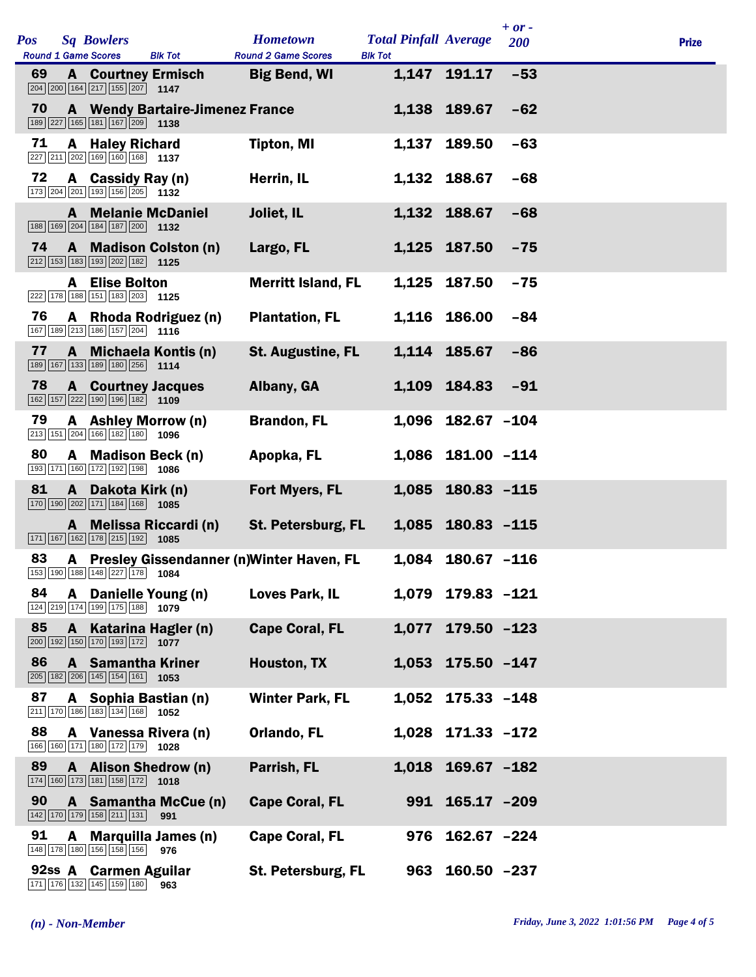| <b>Pos</b> |   |                                                                                                                              |                                        | <b>Hometown</b>                             | <b>Total Pinfall Average</b> |                   | $+ or -$ |              |
|------------|---|------------------------------------------------------------------------------------------------------------------------------|----------------------------------------|---------------------------------------------|------------------------------|-------------------|----------|--------------|
|            |   | <b>Sq Bowlers</b><br><b>Round 1 Game Scores</b>                                                                              | <b>Blk Tot</b>                         | <b>Round 2 Game Scores</b>                  | <b>Blk Tot</b>               |                   | 200      | <b>Prize</b> |
| 69         |   | <b>A</b> Courtney Ermisch<br>$\boxed{204}$ $\boxed{200}$ $\boxed{164}$ $\boxed{217}$ $\boxed{155}$ $\boxed{207}$ 1147        |                                        | <b>Big Bend, WI</b>                         |                              | 1,147 191.17      | $-53$    |              |
| 70         |   | $\boxed{189}$ $\boxed{227}$ $\boxed{165}$ $\boxed{181}$ $\boxed{167}$ $\boxed{209}$ <b>1138</b>                              | <b>A</b> Wendy Bartaire-Jimenez France |                                             |                              | 1,138 189.67      | $-62$    |              |
| 71         |   | <b>A</b> Haley Richard<br>$\boxed{227}$ $\boxed{211}$ $\boxed{202}$ $\boxed{169}$ $\boxed{160}$ $\boxed{168}$ 1137           |                                        | <b>Tipton, MI</b>                           | 1,137                        | 189.50            | $-63$    |              |
| 72         |   | A Cassidy Ray (n)<br>173 204 201 193 156 205 1132                                                                            |                                        | Herrin, IL                                  |                              | 1,132 188.67      | $-68$    |              |
|            |   | <b>A</b> Melanie McDaniel<br>$\boxed{188}$ $\boxed{169}$ $\boxed{204}$ $\boxed{184}$ $\boxed{187}$ $\boxed{200}$ <b>1132</b> |                                        | Joliet, IL                                  |                              | 1,132 188.67      | $-68$    |              |
| 74         |   | 212 153 183 193 202 182 1125                                                                                                 | A Madison Colston (n)                  | Largo, FL                                   |                              | 1,125 187.50      | $-75$    |              |
|            |   | <b>A</b> Elise Bolton<br>222 178 188 151 183 203 1125                                                                        |                                        | <b>Merritt Island, FL</b>                   |                              | 1,125 187.50      | $-75$    |              |
| 76         |   | 167 189 213 186 157 204 1116                                                                                                 | A Rhoda Rodriguez (n)                  | <b>Plantation, FL</b>                       |                              | 1,116 186.00      | -84      |              |
| 77         |   | 189 167 133 189 180 256 1114                                                                                                 | A Michaela Kontis (n)                  | <b>St. Augustine, FL</b>                    |                              | 1,114 185.67      | $-86$    |              |
| 78         |   | <b>A</b> Courtney Jacques<br>162 157 222 190 196 182 1109                                                                    |                                        | Albany, GA                                  |                              | 1,109 184.83      | $-91$    |              |
| 79         |   | A Ashley Morrow (n)<br>213 151 204 166 182 180 1096                                                                          |                                        | <b>Brandon, FL</b>                          |                              | 1,096 182.67 -104 |          |              |
| 80         |   | A Madison Beck (n)<br>193 171 160 172 192 198 1086                                                                           |                                        | Apopka, FL                                  |                              | 1,086 181.00 -114 |          |              |
| 81         | A | Dakota Kirk (n)<br>$\boxed{170}$ $\boxed{190}$ $\boxed{202}$ $\boxed{171}$ $\boxed{184}$ $\boxed{168}$ <b>1085</b>           |                                        | Fort Myers, FL                              |                              | 1,085 180.83 -115 |          |              |
|            |   | 171 167 162 178 215 192                                                                                                      | A Melissa Riccardi (n)<br>1085         | <b>St. Petersburg, FL</b>                   |                              | 1,085 180.83 -115 |          |              |
| 83         |   | 153 190 188 148 227 178 1084                                                                                                 |                                        | A Presley Gissendanner (n) Winter Haven, FL |                              | 1,084 180.67 -116 |          |              |
| 84         |   | A Danielle Young (n)<br>124 219 174 199 175 188 1079                                                                         |                                        | <b>Loves Park, IL</b>                       |                              | 1,079 179.83 -121 |          |              |
| 85         |   | A Katarina Hagler (n)<br>$\boxed{200}$ 192 150 170 193 172 1077                                                              |                                        | <b>Cape Coral, FL</b>                       |                              | 1,077 179.50 -123 |          |              |
| 86         |   | <b>A</b> Samantha Kriner<br>$\boxed{205}$ 182 $\boxed{206}$ 145 154 161 1053                                                 |                                        | Houston, TX                                 |                              | 1,053 175.50 -147 |          |              |
| 87         |   | A Sophia Bastian (n)<br>$\boxed{211}$ 170 186 183 134 168 1052                                                               |                                        | <b>Winter Park, FL</b>                      | 1,052                        | $175.33 - 148$    |          |              |
| 88         |   | A Vanessa Rivera (n)<br>166 160 171 180 172 179 1028                                                                         |                                        | Orlando, FL                                 |                              | 1,028 171.33 -172 |          |              |
| 89         |   | A Alison Shedrow (n)<br>174 160 173 181 158 172 1018                                                                         |                                        | Parrish, FL                                 |                              | 1,018 169.67 -182 |          |              |
| 90         |   | 142 170 179 158 211 131                                                                                                      | A Samantha McCue (n)<br>991            | <b>Cape Coral, FL</b>                       |                              | 991 165.17 -209   |          |              |
| 91         |   | 148 178 180 156 158 156 976                                                                                                  | A Marquilla James (n)                  | <b>Cape Coral, FL</b>                       |                              | 976 162.67 -224   |          |              |
|            |   | 92ss A Carmen Aguilar<br>171 176 132 145 159 180                                                                             | 963                                    | St. Petersburg, FL                          |                              | 963 160.50 -237   |          |              |